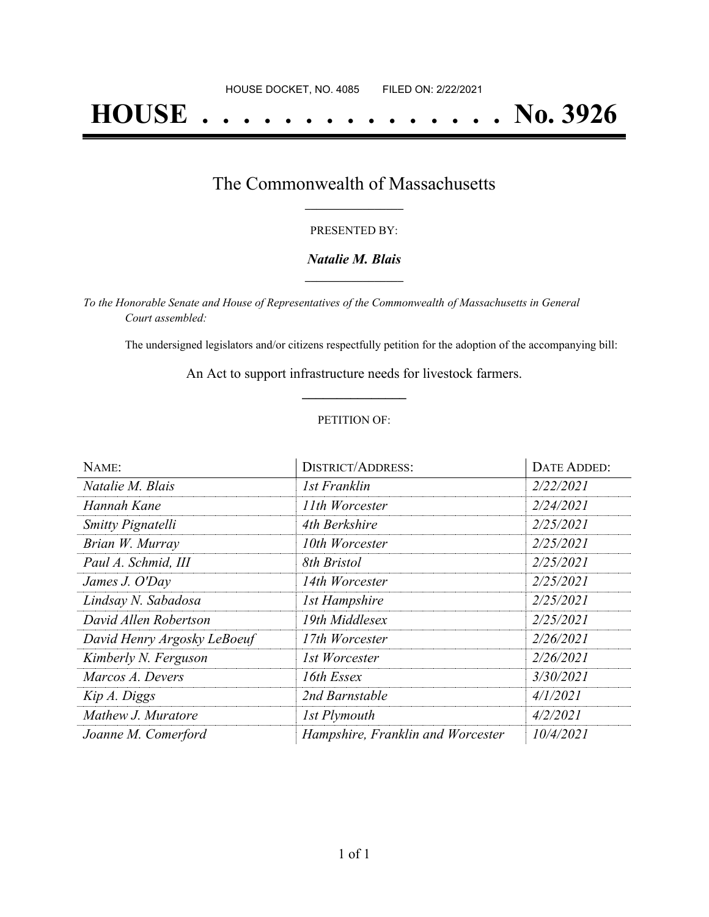# **HOUSE . . . . . . . . . . . . . . . No. 3926**

## The Commonwealth of Massachusetts **\_\_\_\_\_\_\_\_\_\_\_\_\_\_\_\_\_**

### PRESENTED BY:

## *Natalie M. Blais* **\_\_\_\_\_\_\_\_\_\_\_\_\_\_\_\_\_**

*To the Honorable Senate and House of Representatives of the Commonwealth of Massachusetts in General Court assembled:*

The undersigned legislators and/or citizens respectfully petition for the adoption of the accompanying bill:

An Act to support infrastructure needs for livestock farmers. **\_\_\_\_\_\_\_\_\_\_\_\_\_\_\_**

### PETITION OF:

| NAME:                       | <b>DISTRICT/ADDRESS:</b>          | <b>DATE ADDED:</b> |
|-----------------------------|-----------------------------------|--------------------|
| Natalie M. Blais            | 1st Franklin                      | 2/22/2021          |
| Hannah Kane                 | 11th Worcester                    | 2/24/2021          |
| <b>Smitty Pignatelli</b>    | 4th Berkshire                     | 2/25/2021          |
| Brian W. Murray             | 10th Worcester                    | 2/25/2021          |
| Paul A. Schmid, III         | 8th Bristol                       | 2/25/2021          |
| James J. O'Day              | 14th Worcester                    | 2/25/2021          |
| Lindsay N. Sabadosa         | <b>1st Hampshire</b>              | 2/25/2021          |
| David Allen Robertson       | 19th Middlesex                    | 2/25/2021          |
| David Henry Argosky LeBoeuf | 17th Worcester                    | 2/26/2021          |
| Kimberly N. Ferguson        | 1st Worcester                     | 2/26/2021          |
| Marcos A. Devers            | 16th Essex                        | 3/30/2021          |
| Kip A. Diggs                | 2nd Barnstable                    | 4/1/2021           |
| Mathew J. Muratore          | 1st Plymouth                      | 4/2/2021           |
| Joanne M. Comerford         | Hampshire, Franklin and Worcester | 10/4/2021          |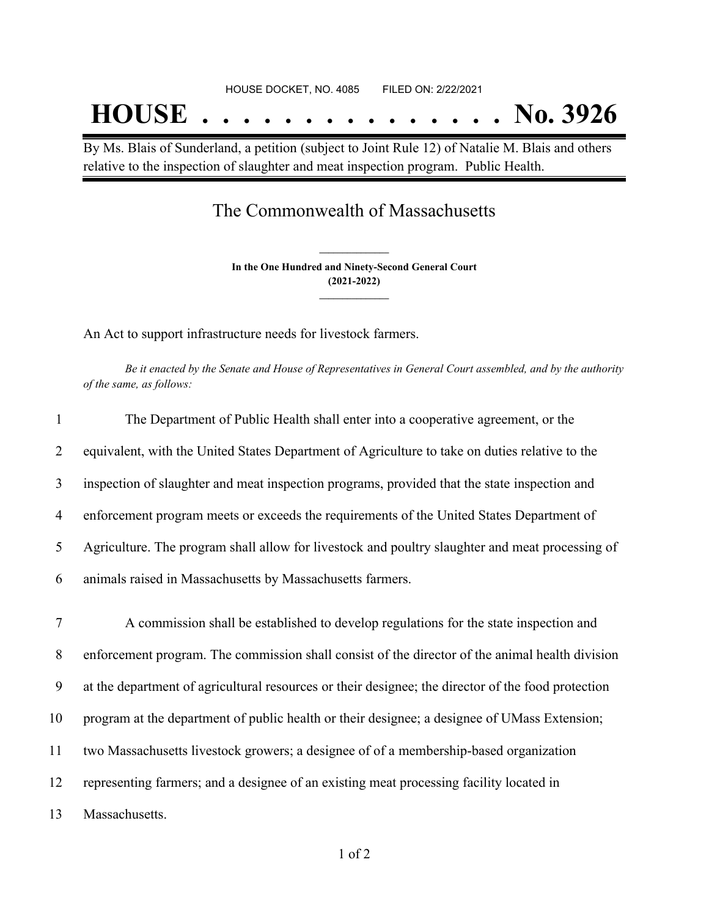By Ms. Blais of Sunderland, a petition (subject to Joint Rule 12) of Natalie M. Blais and others relative to the inspection of slaughter and meat inspection program. Public Health.

# The Commonwealth of Massachusetts

**In the One Hundred and Ninety-Second General Court (2021-2022) \_\_\_\_\_\_\_\_\_\_\_\_\_\_\_**

**\_\_\_\_\_\_\_\_\_\_\_\_\_\_\_**

An Act to support infrastructure needs for livestock farmers.

Be it enacted by the Senate and House of Representatives in General Court assembled, and by the authority *of the same, as follows:*

| $\mathbf{1}$ | The Department of Public Health shall enter into a cooperative agreement, or the                   |
|--------------|----------------------------------------------------------------------------------------------------|
| 2            | equivalent, with the United States Department of Agriculture to take on duties relative to the     |
| 3            | inspection of slaughter and meat inspection programs, provided that the state inspection and       |
| 4            | enforcement program meets or exceeds the requirements of the United States Department of           |
| 5            | Agriculture. The program shall allow for livestock and poultry slaughter and meat processing of    |
| 6            | animals raised in Massachusetts by Massachusetts farmers.                                          |
| $\tau$       | A commission shall be established to develop regulations for the state inspection and              |
| 8            | enforcement program. The commission shall consist of the director of the animal health division    |
| 9            | at the department of agricultural resources or their designee; the director of the food protection |
| 10           | program at the department of public health or their designee; a designee of UMass Extension;       |
| 11           | two Massachusetts livestock growers; a designee of of a membership-based organization              |

12 representing farmers; and a designee of an existing meat processing facility located in

13 Massachusetts.